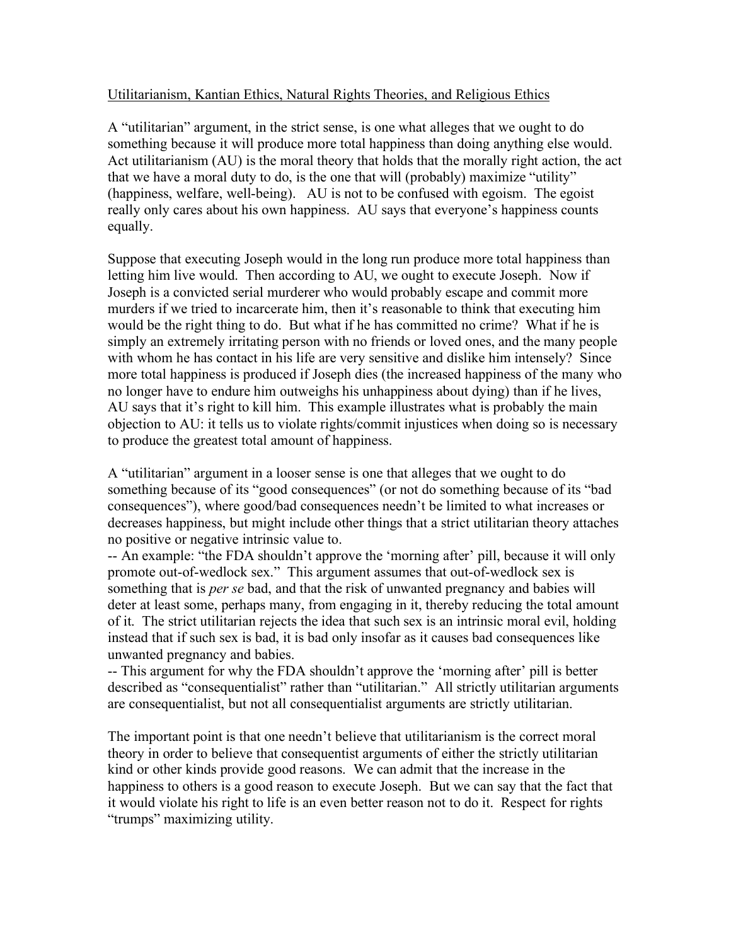## Utilitarianism, Kantian Ethics, Natural Rights Theories, and Religious Ethics

A "utilitarian" argument, in the strict sense, is one what alleges that we ought to do something because it will produce more total happiness than doing anything else would. Act utilitarianism (AU) is the moral theory that holds that the morally right action, the act that we have a moral duty to do, is the one that will (probably) maximize "utility" (happiness, welfare, well-being). AU is not to be confused with egoism. The egoist really only cares about his own happiness. AU says that everyone's happiness counts equally.

Suppose that executing Joseph would in the long run produce more total happiness than letting him live would. Then according to AU, we ought to execute Joseph. Now if Joseph is a convicted serial murderer who would probably escape and commit more murders if we tried to incarcerate him, then it's reasonable to think that executing him would be the right thing to do. But what if he has committed no crime? What if he is simply an extremely irritating person with no friends or loved ones, and the many people with whom he has contact in his life are very sensitive and dislike him intensely? Since more total happiness is produced if Joseph dies (the increased happiness of the many who no longer have to endure him outweighs his unhappiness about dying) than if he lives, AU says that it's right to kill him. This example illustrates what is probably the main objection to AU: it tells us to violate rights/commit injustices when doing so is necessary to produce the greatest total amount of happiness.

A "utilitarian" argument in a looser sense is one that alleges that we ought to do something because of its "good consequences" (or not do something because of its "bad consequences"), where good/bad consequences needn't be limited to what increases or decreases happiness, but might include other things that a strict utilitarian theory attaches no positive or negative intrinsic value to.

-- An example: "the FDA shouldn't approve the 'morning after' pill, because it will only promote out-of-wedlock sex." This argument assumes that out-of-wedlock sex is something that is *per se* bad, and that the risk of unwanted pregnancy and babies will deter at least some, perhaps many, from engaging in it, thereby reducing the total amount of it. The strict utilitarian rejects the idea that such sex is an intrinsic moral evil, holding instead that if such sex is bad, it is bad only insofar as it causes bad consequences like unwanted pregnancy and babies.

-- This argument for why the FDA shouldn't approve the 'morning after' pill is better described as "consequentialist" rather than "utilitarian." All strictly utilitarian arguments are consequentialist, but not all consequentialist arguments are strictly utilitarian.

The important point is that one needn't believe that utilitarianism is the correct moral theory in order to believe that consequentist arguments of either the strictly utilitarian kind or other kinds provide good reasons. We can admit that the increase in the happiness to others is a good reason to execute Joseph. But we can say that the fact that it would violate his right to life is an even better reason not to do it. Respect for rights "trumps" maximizing utility.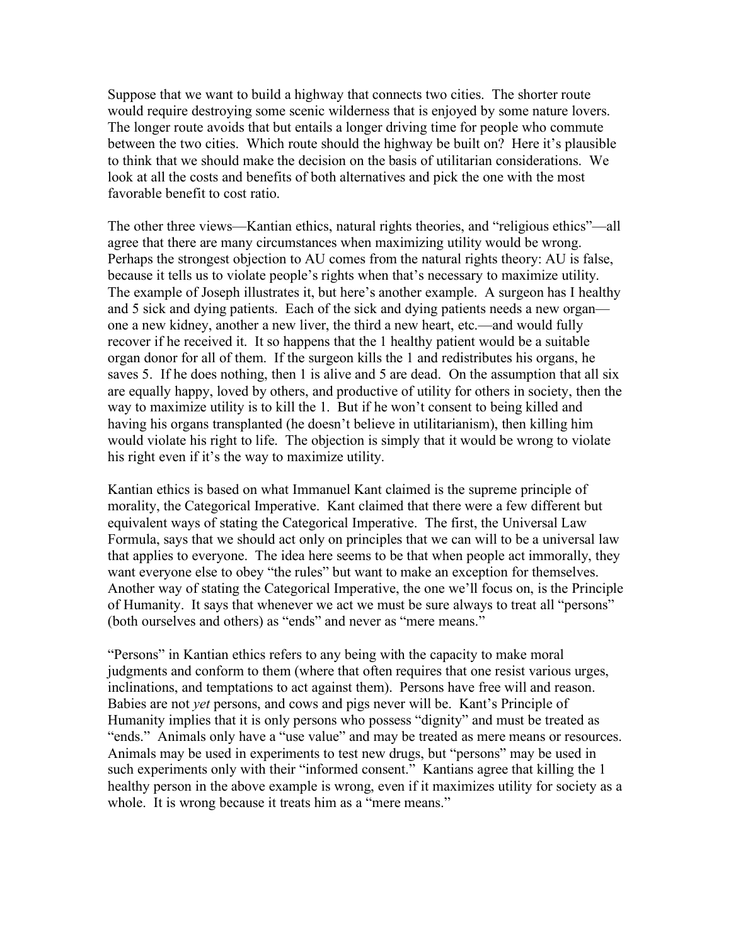Suppose that we want to build a highway that connects two cities. The shorter route would require destroying some scenic wilderness that is enjoyed by some nature lovers. The longer route avoids that but entails a longer driving time for people who commute between the two cities. Which route should the highway be built on? Here it's plausible to think that we should make the decision on the basis of utilitarian considerations. We look at all the costs and benefits of both alternatives and pick the one with the most favorable benefit to cost ratio.

The other three views—Kantian ethics, natural rights theories, and "religious ethics"—all agree that there are many circumstances when maximizing utility would be wrong. Perhaps the strongest objection to AU comes from the natural rights theory: AU is false, because it tells us to violate people's rights when that's necessary to maximize utility. The example of Joseph illustrates it, but here's another example. A surgeon has I healthy and 5 sick and dying patients. Each of the sick and dying patients needs a new organ one a new kidney, another a new liver, the third a new heart, etc.—and would fully recover if he received it. It so happens that the 1 healthy patient would be a suitable organ donor for all of them. If the surgeon kills the 1 and redistributes his organs, he saves 5. If he does nothing, then 1 is alive and 5 are dead. On the assumption that all six are equally happy, loved by others, and productive of utility for others in society, then the way to maximize utility is to kill the 1. But if he won't consent to being killed and having his organs transplanted (he doesn't believe in utilitarianism), then killing him would violate his right to life. The objection is simply that it would be wrong to violate his right even if it's the way to maximize utility.

Kantian ethics is based on what Immanuel Kant claimed is the supreme principle of morality, the Categorical Imperative. Kant claimed that there were a few different but equivalent ways of stating the Categorical Imperative. The first, the Universal Law Formula, says that we should act only on principles that we can will to be a universal law that applies to everyone. The idea here seems to be that when people act immorally, they want everyone else to obey "the rules" but want to make an exception for themselves. Another way of stating the Categorical Imperative, the one we'll focus on, is the Principle of Humanity. It says that whenever we act we must be sure always to treat all "persons" (both ourselves and others) as "ends" and never as "mere means."

"Persons" in Kantian ethics refers to any being with the capacity to make moral judgments and conform to them (where that often requires that one resist various urges, inclinations, and temptations to act against them). Persons have free will and reason. Babies are not *yet* persons, and cows and pigs never will be. Kant's Principle of Humanity implies that it is only persons who possess "dignity" and must be treated as "ends." Animals only have a "use value" and may be treated as mere means or resources. Animals may be used in experiments to test new drugs, but "persons" may be used in such experiments only with their "informed consent." Kantians agree that killing the 1 healthy person in the above example is wrong, even if it maximizes utility for society as a whole. It is wrong because it treats him as a "mere means."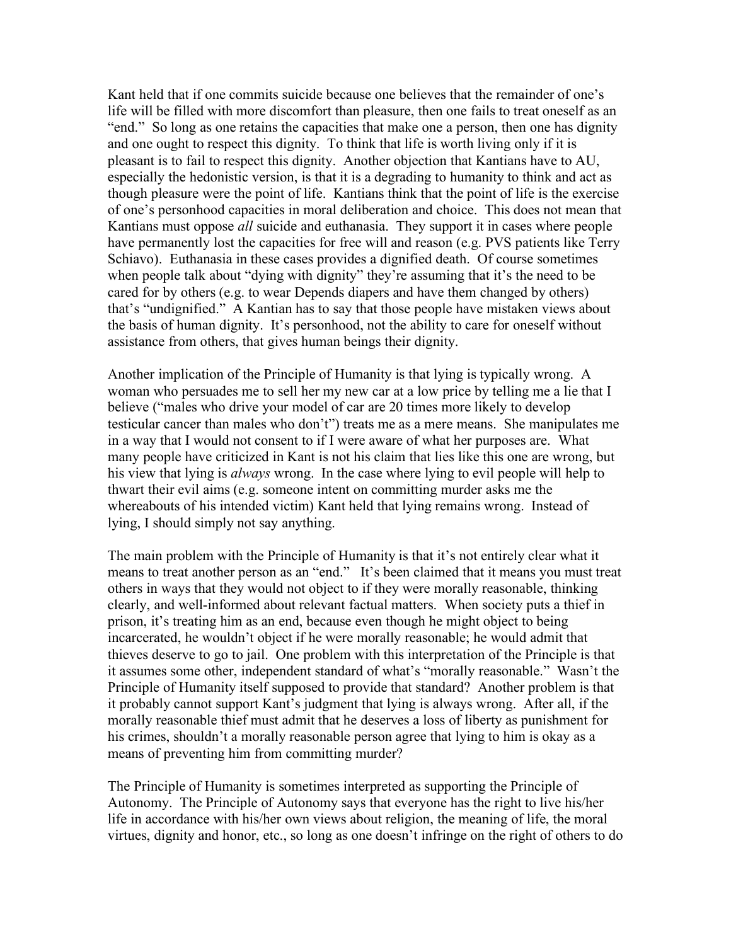Kant held that if one commits suicide because one believes that the remainder of one's life will be filled with more discomfort than pleasure, then one fails to treat oneself as an "end." So long as one retains the capacities that make one a person, then one has dignity and one ought to respect this dignity. To think that life is worth living only if it is pleasant is to fail to respect this dignity. Another objection that Kantians have to AU, especially the hedonistic version, is that it is a degrading to humanity to think and act as though pleasure were the point of life. Kantians think that the point of life is the exercise of one's personhood capacities in moral deliberation and choice. This does not mean that Kantians must oppose *all* suicide and euthanasia. They support it in cases where people have permanently lost the capacities for free will and reason (e.g. PVS patients like Terry Schiavo). Euthanasia in these cases provides a dignified death. Of course sometimes when people talk about "dying with dignity" they're assuming that it's the need to be cared for by others (e.g. to wear Depends diapers and have them changed by others) that's "undignified." A Kantian has to say that those people have mistaken views about the basis of human dignity. It's personhood, not the ability to care for oneself without assistance from others, that gives human beings their dignity.

Another implication of the Principle of Humanity is that lying is typically wrong. A woman who persuades me to sell her my new car at a low price by telling me a lie that I believe ("males who drive your model of car are 20 times more likely to develop testicular cancer than males who don't") treats me as a mere means. She manipulates me in a way that I would not consent to if I were aware of what her purposes are. What many people have criticized in Kant is not his claim that lies like this one are wrong, but his view that lying is *always* wrong. In the case where lying to evil people will help to thwart their evil aims (e.g. someone intent on committing murder asks me the whereabouts of his intended victim) Kant held that lying remains wrong. Instead of lying, I should simply not say anything.

The main problem with the Principle of Humanity is that it's not entirely clear what it means to treat another person as an "end." It's been claimed that it means you must treat others in ways that they would not object to if they were morally reasonable, thinking clearly, and well-informed about relevant factual matters. When society puts a thief in prison, it's treating him as an end, because even though he might object to being incarcerated, he wouldn't object if he were morally reasonable; he would admit that thieves deserve to go to jail. One problem with this interpretation of the Principle is that it assumes some other, independent standard of what's "morally reasonable." Wasn't the Principle of Humanity itself supposed to provide that standard? Another problem is that it probably cannot support Kant's judgment that lying is always wrong. After all, if the morally reasonable thief must admit that he deserves a loss of liberty as punishment for his crimes, shouldn't a morally reasonable person agree that lying to him is okay as a means of preventing him from committing murder?

The Principle of Humanity is sometimes interpreted as supporting the Principle of Autonomy. The Principle of Autonomy says that everyone has the right to live his/her life in accordance with his/her own views about religion, the meaning of life, the moral virtues, dignity and honor, etc., so long as one doesn't infringe on the right of others to do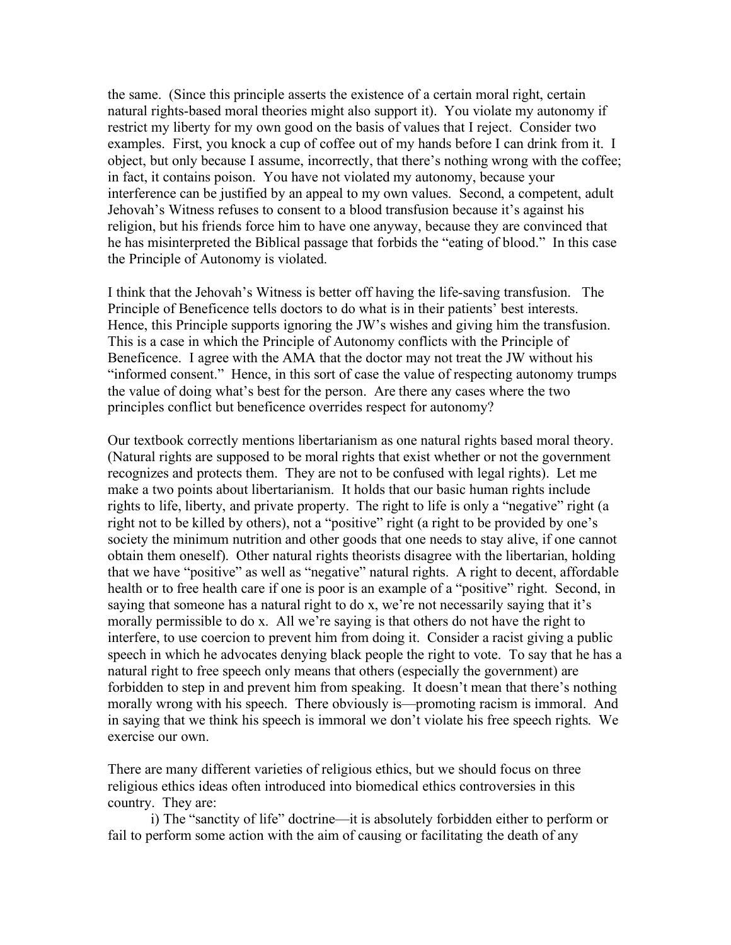the same. (Since this principle asserts the existence of a certain moral right, certain natural rights-based moral theories might also support it). You violate my autonomy if restrict my liberty for my own good on the basis of values that I reject. Consider two examples. First, you knock a cup of coffee out of my hands before I can drink from it. I object, but only because I assume, incorrectly, that there's nothing wrong with the coffee; in fact, it contains poison. You have not violated my autonomy, because your interference can be justified by an appeal to my own values. Second, a competent, adult Jehovah's Witness refuses to consent to a blood transfusion because it's against his religion, but his friends force him to have one anyway, because they are convinced that he has misinterpreted the Biblical passage that forbids the "eating of blood." In this case the Principle of Autonomy is violated.

I think that the Jehovah's Witness is better off having the life-saving transfusion. The Principle of Beneficence tells doctors to do what is in their patients' best interests. Hence, this Principle supports ignoring the JW's wishes and giving him the transfusion. This is a case in which the Principle of Autonomy conflicts with the Principle of Beneficence. I agree with the AMA that the doctor may not treat the JW without his "informed consent." Hence, in this sort of case the value of respecting autonomy trumps the value of doing what's best for the person. Are there any cases where the two principles conflict but beneficence overrides respect for autonomy?

Our textbook correctly mentions libertarianism as one natural rights based moral theory. (Natural rights are supposed to be moral rights that exist whether or not the government recognizes and protects them. They are not to be confused with legal rights). Let me make a two points about libertarianism. It holds that our basic human rights include rights to life, liberty, and private property. The right to life is only a "negative" right (a right not to be killed by others), not a "positive" right (a right to be provided by one's society the minimum nutrition and other goods that one needs to stay alive, if one cannot obtain them oneself). Other natural rights theorists disagree with the libertarian, holding that we have "positive" as well as "negative" natural rights. A right to decent, affordable health or to free health care if one is poor is an example of a "positive" right. Second, in saying that someone has a natural right to do x, we're not necessarily saying that it's morally permissible to do x. All we're saying is that others do not have the right to interfere, to use coercion to prevent him from doing it. Consider a racist giving a public speech in which he advocates denying black people the right to vote. To say that he has a natural right to free speech only means that others (especially the government) are forbidden to step in and prevent him from speaking. It doesn't mean that there's nothing morally wrong with his speech. There obviously is—promoting racism is immoral. And in saying that we think his speech is immoral we don't violate his free speech rights. We exercise our own.

There are many different varieties of religious ethics, but we should focus on three religious ethics ideas often introduced into biomedical ethics controversies in this country. They are:

i) The "sanctity of life" doctrine—it is absolutely forbidden either to perform or fail to perform some action with the aim of causing or facilitating the death of any